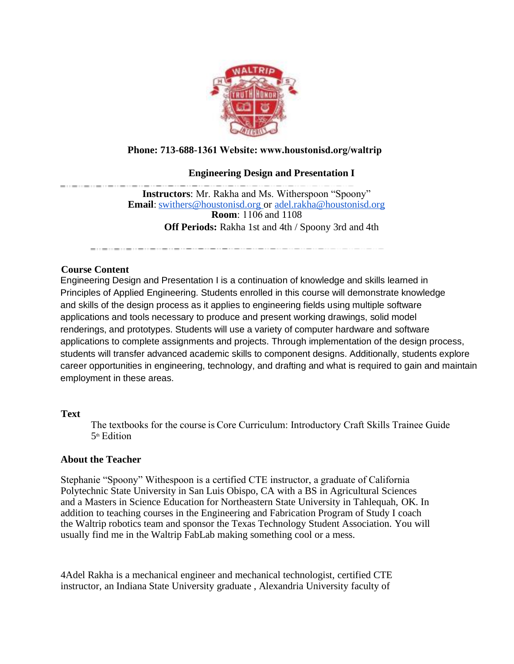

## **Phone: 713-688-1361 Website: www.houstonisd.org/waltrip**

## **Engineering Design and Presentation I**

**Instructors**: Mr. Rakha and Ms. Witherspoon "Spoony" **Email**:[swithers@houstonisd.org](mailto:swithers@houstonisd.org) or [adel.rakha@houstonisd.org](mailto:adel.rakha@houstonisd.org) **Room**: 1106 and 1108 **Off Periods:** Rakha 1st and 4th / Spoony 3rd and 4th

### **Course Content**

Engineering Design and Presentation I is a continuation of knowledge and skills learned in Principles of Applied Engineering. Students enrolled in this course will demonstrate knowledge and skills of the design process as it applies to engineering fields using multiple software applications and tools necessary to produce and present working drawings, solid model renderings, and prototypes. Students will use a variety of computer hardware and software applications to complete assignments and projects. Through implementation of the design process, students will transfer advanced academic skills to component designs. Additionally, students explore career opportunities in engineering, technology, and drafting and what is required to gain and maintain employment in these areas.

### **Text**

The textbooks for the course is Core Curriculum: Introductory Craft Skills Trainee Guide 5 th Edition 

### **About the Teacher**

Stephanie "Spoony" Withespoon is a certified CTE instructor, a graduate of California Polytechnic State University in San Luis Obispo, CA with a BS in Agricultural Sciences and a Masters in Science Education for Northeastern State University in Tahlequah, OK. In addition to teaching courses in the Engineering and Fabrication Program of Study I coach the Waltrip robotics team and sponsor the Texas Technology Student Association. You will usually find me in the Waltrip FabLab making something cool or a mess.

4Adel Rakha is a mechanical engineer and mechanical technologist, certified CTE instructor, an Indiana State University graduate , Alexandria University faculty of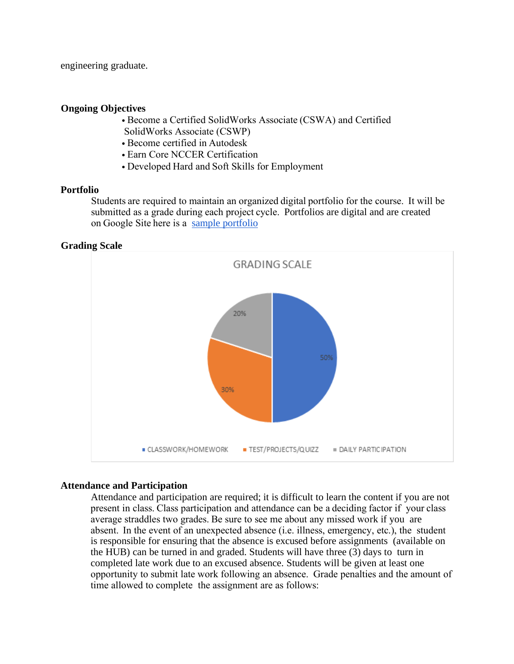engineering graduate.

#### **Ongoing Objectives**

- Become a Certified SolidWorks Associate (CSWA) and Certified SolidWorks Associate (CSWP)
- Become certified in Autodesk
- Earn Core NCCER Certification
- Developed Hard and Soft Skills for Employment

### **Portfolio**

Students are required to maintain an organized digital portfolio for the course.  It will be submitted as a grade during each project cycle.  Portfolios are digital and are created on Google Site here is a [sample portfolio](https://sites.google.com/online.houstonisd.org/gissel-sanchez/home?authuser=0&pli=1)

### **Grading Scale**



### **Attendance and Participation**

Attendance and participation are required; it is difficult to learn the content if you are not present in class. Class participation and attendance can be a deciding factor if your class average straddles two grades. Be sure to see me about any missed work if you are absent.  In the event of an unexpected absence (i.e. illness, emergency, etc.), the student is responsible for ensuring that the absence is excused before assignments (available on the HUB) can be turned in and graded. Students will have three (3) days to turn in completed late work due to an excused absence. Students will be given at least one opportunity to submit late work following an absence.  Grade penalties and the amount of time allowed to complete the assignment are as follows: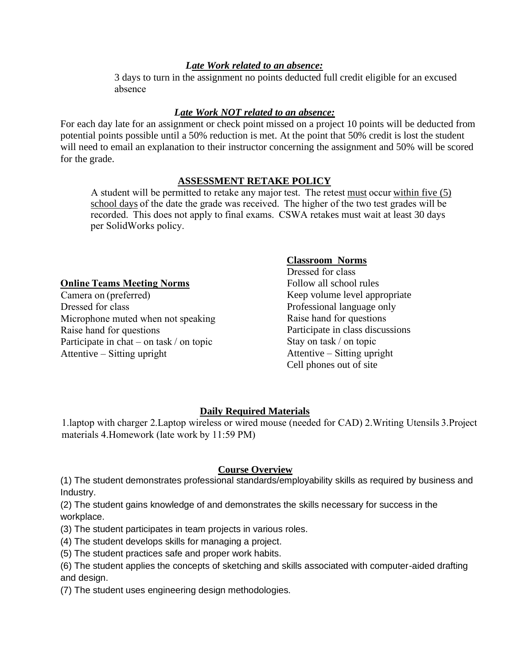## *Late Work related to an absence:*

3 days to turn in the assignment no points deducted full credit eligible for an excused absence 

## *Late Work NOT related to an absence:*

For each day late for an assignment or check point missed on a project 10 points will be deducted from potential points possible until a 50% reduction is met. At the point that 50% credit is lost the student will need to email an explanation to their instructor concerning the assignment and 50% will be scored for the grade.

## **ASSESSMENT RETAKE POLICY**

A student will be permitted to retake any major test.  The retest must occur within five (5) school days of the date the grade was received.  The higher of the two test grades will be recorded.  This does not apply to final exams.  CSWA retakes must wait at least 30 days per SolidWorks policy. 

## **Online Teams Meeting Norms**

Camera on (preferred)  Dressed for class  Microphone muted when not speaking  Raise hand for questions  Participate in chat – on task / on topic  Attentive – Sitting upright 

### **Classroom Norms**

Dressed for class  Follow all school rules Keep volume level appropriate Professional language only Raise hand for questions  Participate in class discussions Stay on task / on topic  Attentive – Sitting upright  Cell phones out of site

# **Daily Required Materials**

1.laptop with charger 2.Laptop wireless or wired mouse (needed for CAD) 2.Writing Utensils 3.Project materials 4.Homework (late work by 11:59 PM) 

## **Course Overview**

(1) The student demonstrates professional standards/employability skills as required by business and Industry.

(2) The student gains knowledge of and demonstrates the skills necessary for success in the workplace.

(3) The student participates in team projects in various roles.

(4) The student develops skills for managing a project.

(5) The student practices safe and proper work habits.

(6) The student applies the concepts of sketching and skills associated with computer-aided drafting and design.

(7) The student uses engineering design methodologies.